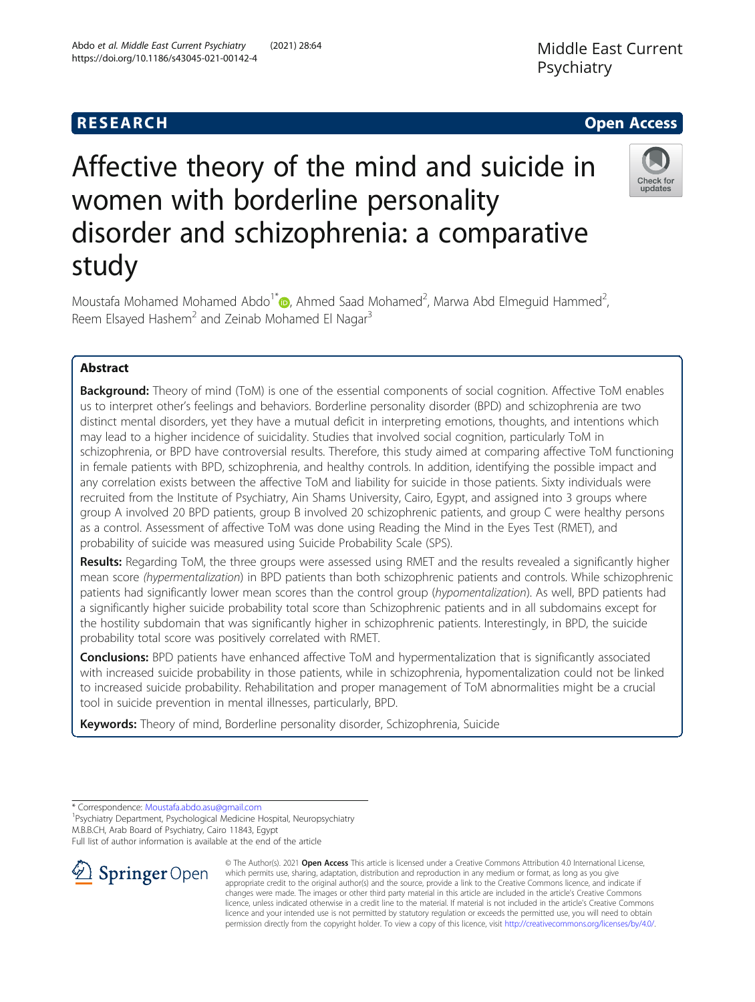# Affective theory of the mind and suicide in women with borderline personality disorder and schizophrenia: a comparative study

Moustafa Mohamed Mohamed Abdo<sup>1\*</sup> $\bullet$ [,](http://orcid.org/0000-0001-5069-0984) Ahmed Saad Mohamed<sup>2</sup>, Marwa Abd Elmeguid Hammed<sup>2</sup> , Reem Elsayed Hashem<sup>2</sup> and Zeinab Mohamed El Nagar<sup>3</sup>

## Abstract

**Background:** Theory of mind (ToM) is one of the essential components of social cognition. Affective ToM enables us to interpret other's feelings and behaviors. Borderline personality disorder (BPD) and schizophrenia are two distinct mental disorders, yet they have a mutual deficit in interpreting emotions, thoughts, and intentions which may lead to a higher incidence of suicidality. Studies that involved social cognition, particularly ToM in schizophrenia, or BPD have controversial results. Therefore, this study aimed at comparing affective ToM functioning in female patients with BPD, schizophrenia, and healthy controls. In addition, identifying the possible impact and any correlation exists between the affective ToM and liability for suicide in those patients. Sixty individuals were recruited from the Institute of Psychiatry, Ain Shams University, Cairo, Egypt, and assigned into 3 groups where group A involved 20 BPD patients, group B involved 20 schizophrenic patients, and group C were healthy persons as a control. Assessment of affective ToM was done using Reading the Mind in the Eyes Test (RMET), and probability of suicide was measured using Suicide Probability Scale (SPS).

Results: Regarding ToM, the three groups were assessed using RMET and the results revealed a significantly higher mean score (hypermentalization) in BPD patients than both schizophrenic patients and controls. While schizophrenic patients had significantly lower mean scores than the control group (hypomentalization). As well, BPD patients had a significantly higher suicide probability total score than Schizophrenic patients and in all subdomains except for the hostility subdomain that was significantly higher in schizophrenic patients. Interestingly, in BPD, the suicide probability total score was positively correlated with RMET.

Conclusions: BPD patients have enhanced affective ToM and hypermentalization that is significantly associated with increased suicide probability in those patients, while in schizophrenia, hypomentalization could not be linked to increased suicide probability. Rehabilitation and proper management of ToM abnormalities might be a crucial tool in suicide prevention in mental illnesses, particularly, BPD.

Keywords: Theory of mind, Borderline personality disorder, Schizophrenia, Suicide

\* Correspondence: [Moustafa.abdo.asu@gmail.com](mailto:Moustafa.abdo.asu@gmail.com) <sup>1</sup>

SpringerOpen

<sup>1</sup> Psychiatry Department, Psychological Medicine Hospital, Neuropsychiatry M.B.B.CH, Arab Board of Psychiatry, Cairo 11843, Egypt

Full list of author information is available at the end of the article

© The Author(s). 2021 Open Access This article is licensed under a Creative Commons Attribution 4.0 International License, which permits use, sharing, adaptation, distribution and reproduction in any medium or format, as long as you give appropriate credit to the original author(s) and the source, provide a link to the Creative Commons licence, and indicate if changes were made. The images or other third party material in this article are included in the article's Creative Commons licence, unless indicated otherwise in a credit line to the material. If material is not included in the article's Creative Commons licence and your intended use is not permitted by statutory regulation or exceeds the permitted use, you will need to obtain permission directly from the copyright holder. To view a copy of this licence, visit <http://creativecommons.org/licenses/by/4.0/>.







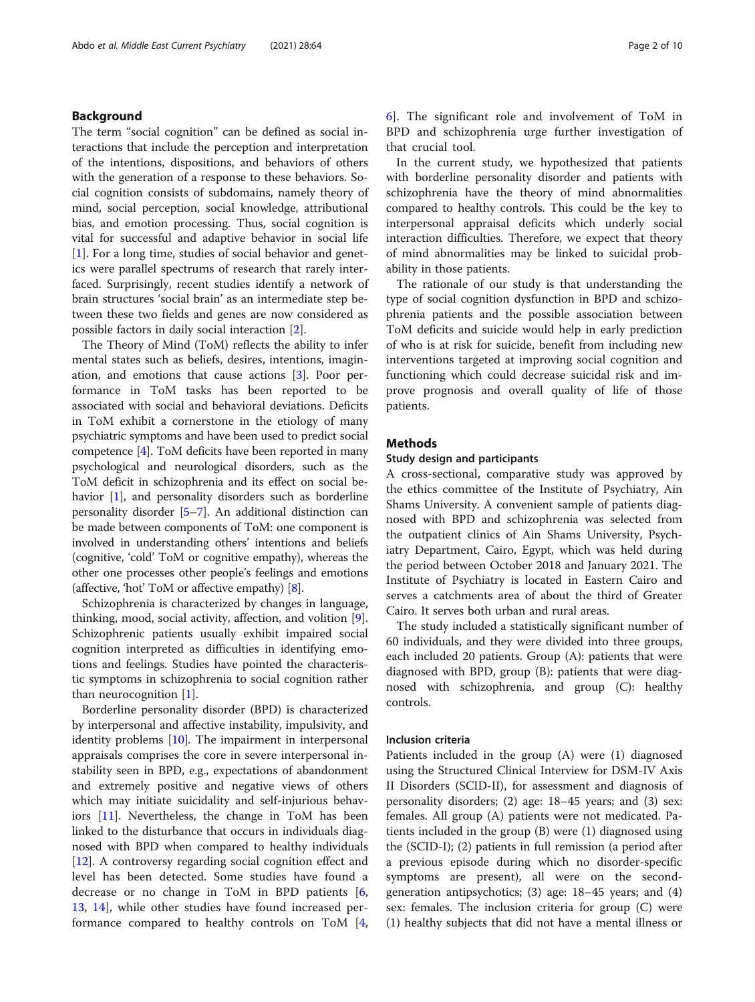#### Background

The term "social cognition" can be defined as social interactions that include the perception and interpretation of the intentions, dispositions, and behaviors of others with the generation of a response to these behaviors. Social cognition consists of subdomains, namely theory of mind, social perception, social knowledge, attributional bias, and emotion processing. Thus, social cognition is vital for successful and adaptive behavior in social life [[1\]](#page-7-0). For a long time, studies of social behavior and genetics were parallel spectrums of research that rarely interfaced. Surprisingly, recent studies identify a network of brain structures 'social brain' as an intermediate step between these two fields and genes are now considered as possible factors in daily social interaction [[2\]](#page-7-0).

The Theory of Mind (ToM) reflects the ability to infer mental states such as beliefs, desires, intentions, imagination, and emotions that cause actions [[3\]](#page-7-0). Poor performance in ToM tasks has been reported to be associated with social and behavioral deviations. Deficits in ToM exhibit a cornerstone in the etiology of many psychiatric symptoms and have been used to predict social competence [[4\]](#page-7-0). ToM deficits have been reported in many psychological and neurological disorders, such as the ToM deficit in schizophrenia and its effect on social be-havior [[1](#page-7-0)], and personality disorders such as borderline personality disorder [[5](#page-7-0)–[7](#page-7-0)]. An additional distinction can be made between components of ToM: one component is involved in understanding others' intentions and beliefs (cognitive, 'cold' ToM or cognitive empathy), whereas the other one processes other people's feelings and emotions (affective, 'hot' ToM or affective empathy) [[8\]](#page-7-0).

Schizophrenia is characterized by changes in language, thinking, mood, social activity, affection, and volition [\[9](#page-7-0)]. Schizophrenic patients usually exhibit impaired social cognition interpreted as difficulties in identifying emotions and feelings. Studies have pointed the characteristic symptoms in schizophrenia to social cognition rather than neurocognition [\[1](#page-7-0)].

Borderline personality disorder (BPD) is characterized by interpersonal and affective instability, impulsivity, and identity problems [[10\]](#page-7-0). The impairment in interpersonal appraisals comprises the core in severe interpersonal instability seen in BPD, e.g., expectations of abandonment and extremely positive and negative views of others which may initiate suicidality and self-injurious behaviors [\[11](#page-8-0)]. Nevertheless, the change in ToM has been linked to the disturbance that occurs in individuals diagnosed with BPD when compared to healthy individuals [[12\]](#page-8-0). A controversy regarding social cognition effect and level has been detected. Some studies have found a decrease or no change in ToM in BPD patients [\[6](#page-7-0), [13,](#page-8-0) [14](#page-8-0)], while other studies have found increased performance compared to healthy controls on ToM [\[4](#page-7-0), [6\]](#page-7-0). The significant role and involvement of ToM in BPD and schizophrenia urge further investigation of that crucial tool.

In the current study, we hypothesized that patients with borderline personality disorder and patients with schizophrenia have the theory of mind abnormalities compared to healthy controls. This could be the key to interpersonal appraisal deficits which underly social interaction difficulties. Therefore, we expect that theory of mind abnormalities may be linked to suicidal probability in those patients.

The rationale of our study is that understanding the type of social cognition dysfunction in BPD and schizophrenia patients and the possible association between ToM deficits and suicide would help in early prediction of who is at risk for suicide, benefit from including new interventions targeted at improving social cognition and functioning which could decrease suicidal risk and improve prognosis and overall quality of life of those patients.

#### Methods

#### Study design and participants

A cross-sectional, comparative study was approved by the ethics committee of the Institute of Psychiatry, Ain Shams University. A convenient sample of patients diagnosed with BPD and schizophrenia was selected from the outpatient clinics of Ain Shams University, Psychiatry Department, Cairo, Egypt, which was held during the period between October 2018 and January 2021. The Institute of Psychiatry is located in Eastern Cairo and serves a catchments area of about the third of Greater Cairo. It serves both urban and rural areas.

The study included a statistically significant number of 60 individuals, and they were divided into three groups, each included 20 patients. Group (A): patients that were diagnosed with BPD, group (B): patients that were diagnosed with schizophrenia, and group (C): healthy controls.

#### Inclusion criteria

Patients included in the group (A) were (1) diagnosed using the Structured Clinical Interview for DSM-IV Axis II Disorders (SCID-II), for assessment and diagnosis of personality disorders; (2) age: 18–45 years; and (3) sex: females. All group (A) patients were not medicated. Patients included in the group (B) were (1) diagnosed using the (SCID-I); (2) patients in full remission (a period after a previous episode during which no disorder-specific symptoms are present), all were on the secondgeneration antipsychotics; (3) age: 18–45 years; and (4) sex: females. The inclusion criteria for group (C) were (1) healthy subjects that did not have a mental illness or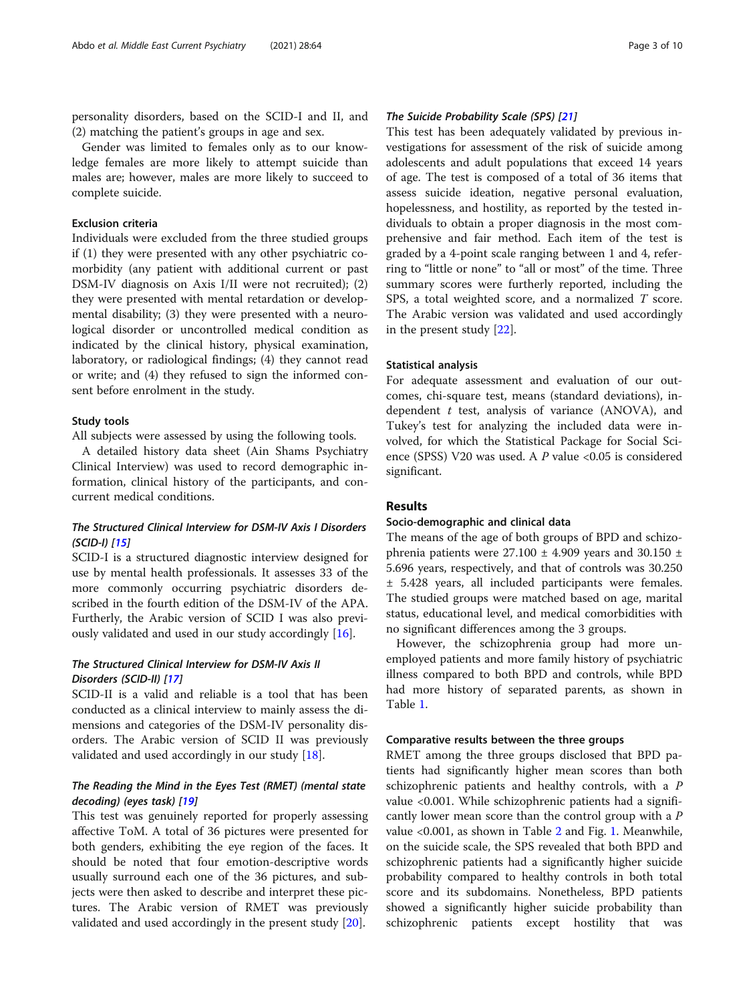personality disorders, based on the SCID-I and II, and (2) matching the patient's groups in age and sex.

Gender was limited to females only as to our knowledge females are more likely to attempt suicide than males are; however, males are more likely to succeed to complete suicide.

#### Exclusion criteria

Individuals were excluded from the three studied groups if (1) they were presented with any other psychiatric comorbidity (any patient with additional current or past DSM-IV diagnosis on Axis I/II were not recruited); (2) they were presented with mental retardation or developmental disability; (3) they were presented with a neurological disorder or uncontrolled medical condition as indicated by the clinical history, physical examination, laboratory, or radiological findings; (4) they cannot read or write; and (4) they refused to sign the informed consent before enrolment in the study.

#### Study tools

All subjects were assessed by using the following tools.

A detailed history data sheet (Ain Shams Psychiatry Clinical Interview) was used to record demographic information, clinical history of the participants, and concurrent medical conditions.

### The Structured Clinical Interview for DSM-IV Axis I Disorders (SCID-I) [[15](#page-8-0)]

SCID-I is a structured diagnostic interview designed for use by mental health professionals. It assesses 33 of the more commonly occurring psychiatric disorders described in the fourth edition of the DSM-IV of the APA. Furtherly, the Arabic version of SCID I was also previously validated and used in our study accordingly [\[16](#page-8-0)].

#### The Structured Clinical Interview for DSM-IV Axis II Disorders (SCID-II) [[17](#page-8-0)]

SCID-II is a valid and reliable is a tool that has been conducted as a clinical interview to mainly assess the dimensions and categories of the DSM-IV personality disorders. The Arabic version of SCID II was previously validated and used accordingly in our study [\[18](#page-8-0)].

#### The Reading the Mind in the Eyes Test (RMET) (mental state decoding) (eyes task) [[19](#page-8-0)]

This test was genuinely reported for properly assessing affective ToM. A total of 36 pictures were presented for both genders, exhibiting the eye region of the faces. It should be noted that four emotion-descriptive words usually surround each one of the 36 pictures, and subjects were then asked to describe and interpret these pictures. The Arabic version of RMET was previously validated and used accordingly in the present study [\[20](#page-8-0)].

#### The Suicide Probability Scale (SPS) [\[21\]](#page-8-0)

This test has been adequately validated by previous investigations for assessment of the risk of suicide among adolescents and adult populations that exceed 14 years of age. The test is composed of a total of 36 items that assess suicide ideation, negative personal evaluation, hopelessness, and hostility, as reported by the tested individuals to obtain a proper diagnosis in the most comprehensive and fair method. Each item of the test is graded by a 4-point scale ranging between 1 and 4, referring to "little or none" to "all or most" of the time. Three summary scores were furtherly reported, including the SPS, a total weighted score, and a normalized T score. The Arabic version was validated and used accordingly in the present study [\[22](#page-8-0)].

#### Statistical analysis

For adequate assessment and evaluation of our outcomes, chi-square test, means (standard deviations), independent  $t$  test, analysis of variance (ANOVA), and Tukey's test for analyzing the included data were involved, for which the Statistical Package for Social Science (SPSS) V20 was used. A  $P$  value <0.05 is considered significant.

#### Results

#### Socio-demographic and clinical data

The means of the age of both groups of BPD and schizophrenia patients were  $27.100 \pm 4.909$  years and  $30.150 \pm 1.50$ 5.696 years, respectively, and that of controls was 30.250 ± 5.428 years, all included participants were females. The studied groups were matched based on age, marital status, educational level, and medical comorbidities with no significant differences among the 3 groups.

However, the schizophrenia group had more unemployed patients and more family history of psychiatric illness compared to both BPD and controls, while BPD had more history of separated parents, as shown in Table [1.](#page-3-0)

#### Comparative results between the three groups

RMET among the three groups disclosed that BPD patients had significantly higher mean scores than both schizophrenic patients and healthy controls, with a P value <0.001. While schizophrenic patients had a significantly lower mean score than the control group with a P value <0.001, as shown in Table [2](#page-3-0) and Fig. [1](#page-4-0). Meanwhile, on the suicide scale, the SPS revealed that both BPD and schizophrenic patients had a significantly higher suicide probability compared to healthy controls in both total score and its subdomains. Nonetheless, BPD patients showed a significantly higher suicide probability than schizophrenic patients except hostility that was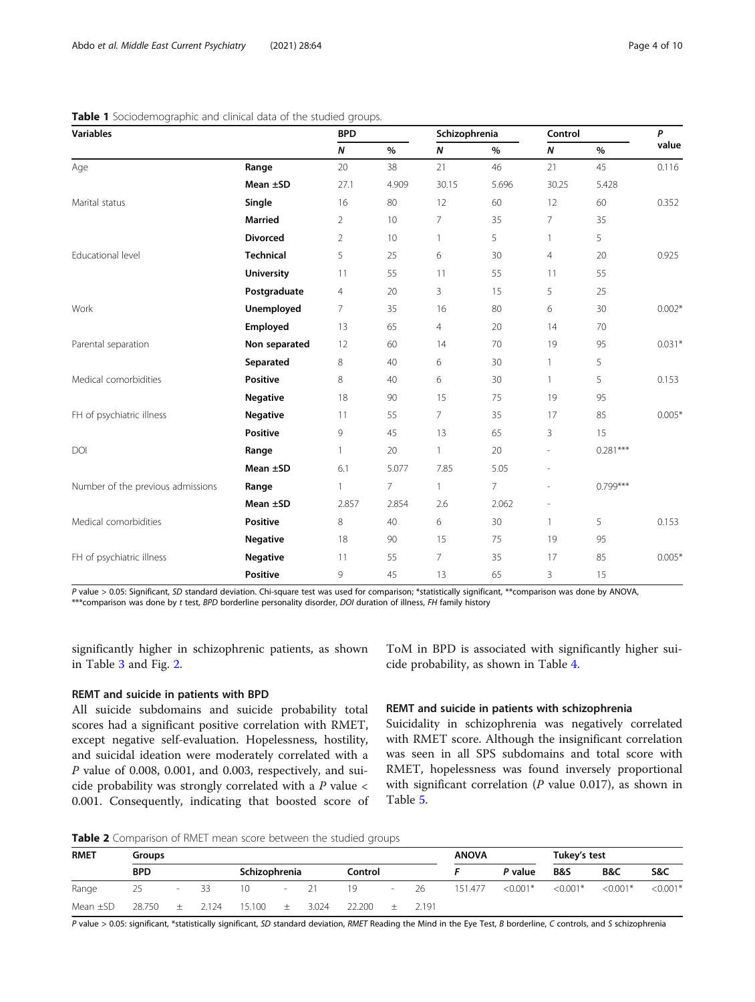| <b>Variables</b>                  |                   | <b>BPD</b>     |       | Schizophrenia  |       | Control                  |            | P        |
|-----------------------------------|-------------------|----------------|-------|----------------|-------|--------------------------|------------|----------|
|                                   |                   | $\pmb N$       | $\%$  | $\pmb N$       | $\%$  | $\boldsymbol{N}$         | $\%$       | value    |
| Age                               | Range             | 20             | 38    | 21             | 46    | 21                       | 45         | 0.116    |
|                                   | Mean $\pm$ SD     | 27.1           | 4.909 | 30.15          | 5.696 | 30.25                    | 5.428      |          |
| Marital status                    | Single            | 16             | 80    | 12             | 60    | 12                       | 60         | 0.352    |
|                                   | <b>Married</b>    | $\overline{2}$ | 10    | $\overline{7}$ | 35    | 7                        | 35         |          |
|                                   | <b>Divorced</b>   | $\overline{2}$ | 10    | 1              | 5     | $\mathbf{1}$             | 5          |          |
| Educational level                 | <b>Technical</b>  | 5              | 25    | 6              | 30    | $\overline{4}$           | 20         | 0.925    |
|                                   | <b>University</b> | 11             | 55    | 11             | 55    | 11                       | 55         |          |
|                                   | Postgraduate      | $\overline{4}$ | 20    | 3              | 15    | 5                        | 25         |          |
| Work                              | Unemployed        | $\overline{7}$ | 35    | 16             | 80    | 6                        | 30         | $0.002*$ |
|                                   | Employed          | 13             | 65    | $\overline{4}$ | 20    | 14                       | 70         |          |
| Parental separation               | Non separated     | 12             | 60    | 14             | 70    | 19                       | 95         | $0.031*$ |
|                                   | Separated         | 8              | 40    | 6              | 30    | $\mathbf{1}$             | 5          |          |
| Medical comorbidities             | <b>Positive</b>   | 8              | 40    | 6              | 30    | $\mathbf{1}$             | 5          | 0.153    |
|                                   | <b>Negative</b>   | 18             | 90    | 15             | 75    | 19                       | 95         |          |
| FH of psychiatric illness         | <b>Negative</b>   | 11             | 55    | $\overline{7}$ | 35    | 17                       | 85         | $0.005*$ |
|                                   | <b>Positive</b>   | 9              | 45    | 13             | 65    | 3                        | 15         |          |
| DOI                               | Range             | $\mathbf{1}$   | 20    | $\mathbf{1}$   | 20    | $\overline{\phantom{0}}$ | $0.281***$ |          |
|                                   | Mean $\pm$ SD     | 6.1            | 5.077 | 7.85           | 5.05  | $\overline{a}$           |            |          |
| Number of the previous admissions | Range             |                | 7     | 1              | 7     |                          | $0.799***$ |          |
|                                   | Mean ±SD          | 2.857          | 2.854 | 2.6            | 2.062 | $\overline{a}$           |            |          |
| Medical comorbidities             | <b>Positive</b>   | 8              | 40    | 6              | 30    | $\mathbf{1}$             | 5          | 0.153    |
|                                   | <b>Negative</b>   | 18             | 90    | 15             | 75    | 19                       | 95         |          |
| FH of psychiatric illness         | <b>Negative</b>   | 11             | 55    | $\overline{7}$ | 35    | 17                       | 85         | $0.005*$ |
|                                   | <b>Positive</b>   | 9              | 45    | 13             | 65    | 3                        | 15         |          |

#### <span id="page-3-0"></span>Table 1 Sociodemographic and clinical data of the studied groups.

P value > 0.05: Significant, SD standard deviation. Chi-square test was used for comparison; \*statistically significant, \*\*comparison was done by ANOVA, \*\*\*comparison was done by t test, BPD borderline personality disorder, DOI duration of illness, FH family history

significantly higher in schizophrenic patients, as shown in Table [3](#page-4-0) and Fig. [2.](#page-5-0)

# REMT and suicide in patients with BPD

All suicide subdomains and suicide probability total scores had a significant positive correlation with RMET, except negative self-evaluation. Hopelessness, hostility, and suicidal ideation were moderately correlated with a P value of 0.008, 0.001, and 0.003, respectively, and suicide probability was strongly correlated with a  $P$  value  $\lt$ 0.001. Consequently, indicating that boosted score of ToM in BPD is associated with significantly higher suicide probability, as shown in Table [4.](#page-5-0)

#### REMT and suicide in patients with schizophrenia

Suicidality in schizophrenia was negatively correlated with RMET score. Although the insignificant correlation was seen in all SPS subdomains and total score with RMET, hopelessness was found inversely proportional with significant correlation ( $P$  value 0.017), as shown in Table [5.](#page-5-0)

Table 2 Comparison of RMET mean score between the studied groups

| <b>RMET</b>   | Groups     |                          |       |               |        |       |         | <b>ANOVA</b> |       | Tukey's test |            |                |            |            |
|---------------|------------|--------------------------|-------|---------------|--------|-------|---------|--------------|-------|--------------|------------|----------------|------------|------------|
|               | <b>BPD</b> |                          |       | Schizophrenia |        |       | Control |              |       |              | P value    | <b>B&amp;S</b> | B&C        | S&C        |
| Range         | 25         | $\overline{\phantom{a}}$ | - 33  | 10            | $\sim$ | 21    | 19      | $\sim$       | - 26  | 151.477      | $< 0.001*$ | $< 0.001*$     | $< 0.001*$ | $< 0.001*$ |
| Mean $\pm$ SD | 28.750     | $^{+}$                   | 2.124 | 15.100        | $+$    | 3.024 | 22,200  |              | 2.191 |              |            |                |            |            |

P value > 0.05: significant, \*statistically significant, SD standard deviation, RMET Reading the Mind in the Eye Test, B borderline, C controls, and S schizophrenia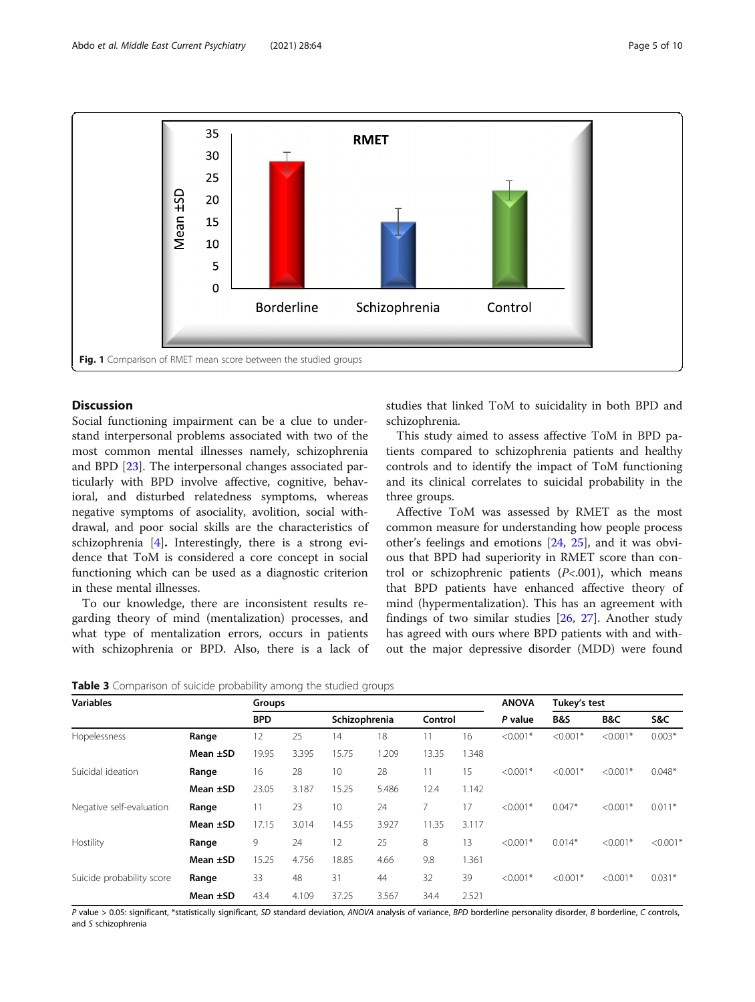<span id="page-4-0"></span>

#### Discussion

Social functioning impairment can be a clue to understand interpersonal problems associated with two of the most common mental illnesses namely, schizophrenia and BPD [[23](#page-8-0)]. The interpersonal changes associated particularly with BPD involve affective, cognitive, behavioral, and disturbed relatedness symptoms, whereas negative symptoms of asociality, avolition, social withdrawal, and poor social skills are the characteristics of schizophrenia [[4\]](#page-7-0). Interestingly, there is a strong evidence that ToM is considered a core concept in social functioning which can be used as a diagnostic criterion in these mental illnesses.

To our knowledge, there are inconsistent results regarding theory of mind (mentalization) processes, and what type of mentalization errors, occurs in patients with schizophrenia or BPD. Also, there is a lack of studies that linked ToM to suicidality in both BPD and schizophrenia.

This study aimed to assess affective ToM in BPD patients compared to schizophrenia patients and healthy controls and to identify the impact of ToM functioning and its clinical correlates to suicidal probability in the three groups.

Affective ToM was assessed by RMET as the most common measure for understanding how people process other's feelings and emotions [[24,](#page-8-0) [25\]](#page-8-0), and it was obvious that BPD had superiority in RMET score than control or schizophrenic patients  $(P<.001)$ , which means that BPD patients have enhanced affective theory of mind (hypermentalization). This has an agreement with findings of two similar studies [\[26,](#page-8-0) [27](#page-8-0)]. Another study has agreed with ours where BPD patients with and without the major depressive disorder (MDD) were found

| Table 3 Comparison of suicide probability among the studied groups |  |  |  |
|--------------------------------------------------------------------|--|--|--|
|--------------------------------------------------------------------|--|--|--|

| <b>Variables</b>          |               | Groups     |       |               |       | <b>ANOVA</b> | Tukey's test |            |                |            |            |
|---------------------------|---------------|------------|-------|---------------|-------|--------------|--------------|------------|----------------|------------|------------|
|                           |               | <b>BPD</b> |       | Schizophrenia |       | Control      |              | P value    | <b>B&amp;S</b> | B&C        | S&C        |
| Hopelessness              | Range         | 12         | 25    | 14            | 18    | 11           | 16           | $< 0.001*$ | $< 0.001*$     | $< 0.001*$ | $0.003*$   |
|                           | Mean $\pm$ SD | 19.95      | 3.395 | 15.75         | 1.209 | 13.35        | 1.348        |            |                |            |            |
| Suicidal ideation         | Range         | 16         | 28    | 10            | 28    | 11           | 15           | $< 0.001*$ | $< 0.001*$     | $< 0.001*$ | $0.048*$   |
|                           | Mean $\pm$ SD | 23.05      | 3.187 | 15.25         | 5.486 | 12.4         | 1.142        |            |                |            |            |
| Negative self-evaluation  | Range         |            | 23    | 10            | 24    | 7            | 17           | $< 0.001*$ | $0.047*$       | $< 0.001*$ | $0.011*$   |
|                           | Mean $\pm$ SD | 17.15      | 3.014 | 14.55         | 3.927 | 11.35        | 3.117        |            |                |            |            |
| Hostility                 | Range         | 9          | 24    | 12            | 25    | 8            | 13           | $< 0.001*$ | $0.014*$       | $< 0.001*$ | $< 0.001*$ |
|                           | Mean $\pm$ SD | 15.25      | 4.756 | 18.85         | 4.66  | 9.8          | 1.361        |            |                |            |            |
| Suicide probability score | Range         | 33         | 48    | 31            | 44    | 32           | 39           | $< 0.001*$ | $< 0.001*$     | $< 0.001*$ | $0.031*$   |
|                           | Mean $\pm$ SD | 43.4       | 4.109 | 37.25         | 3.567 | 34.4         | 2.521        |            |                |            |            |

P value > 0.05: significant, \*statistically significant, SD standard deviation, ANOVA analysis of variance, BPD borderline personality disorder, B borderline, C controls, and S schizophrenia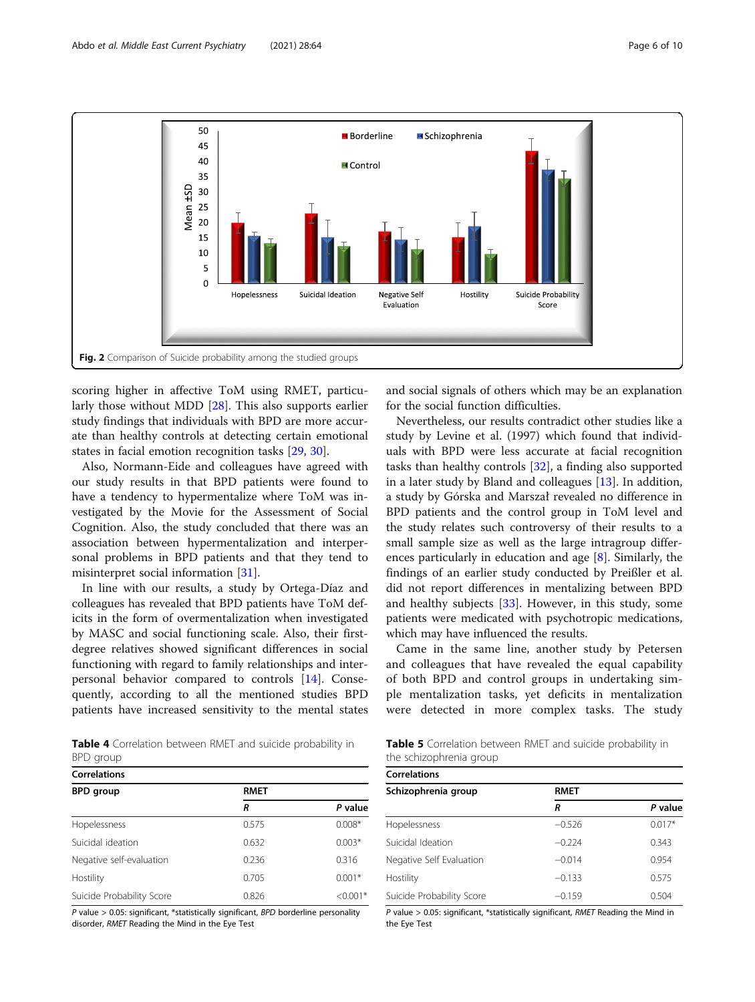<span id="page-5-0"></span>

scoring higher in affective ToM using RMET, particularly those without MDD [\[28](#page-8-0)]. This also supports earlier study findings that individuals with BPD are more accurate than healthy controls at detecting certain emotional states in facial emotion recognition tasks [[29,](#page-8-0) [30\]](#page-8-0).

Also, Normann-Eide and colleagues have agreed with our study results in that BPD patients were found to have a tendency to hypermentalize where ToM was investigated by the Movie for the Assessment of Social Cognition. Also, the study concluded that there was an association between hypermentalization and interpersonal problems in BPD patients and that they tend to misinterpret social information [\[31](#page-8-0)].

In line with our results, a study by Ortega-Díaz and colleagues has revealed that BPD patients have ToM deficits in the form of overmentalization when investigated by MASC and social functioning scale. Also, their firstdegree relatives showed significant differences in social functioning with regard to family relationships and interpersonal behavior compared to controls [[14](#page-8-0)]. Consequently, according to all the mentioned studies BPD patients have increased sensitivity to the mental states

Table 4 Correlation between RMET and suicide probability in BPD group

| <b>Correlations</b>       |             |            |  |  |  |  |  |
|---------------------------|-------------|------------|--|--|--|--|--|
| <b>BPD</b> group          | <b>RMET</b> |            |  |  |  |  |  |
|                           | R           | P value    |  |  |  |  |  |
| Hopelessness              | 0.575       | $0.008*$   |  |  |  |  |  |
| Suicidal ideation         | 0.632       | $0.003*$   |  |  |  |  |  |
| Negative self-evaluation  | 0.236       | 0.316      |  |  |  |  |  |
| Hostility                 | 0.705       | $0.001*$   |  |  |  |  |  |
| Suicide Probability Score | 0.826       | $< 0.001*$ |  |  |  |  |  |

P value  $> 0.05$ : significant, \*statistically significant, BPD borderline personality disorder, RMET Reading the Mind in the Eye Test

and social signals of others which may be an explanation for the social function difficulties.

Nevertheless, our results contradict other studies like a study by Levine et al. (1997) which found that individuals with BPD were less accurate at facial recognition tasks than healthy controls [\[32](#page-8-0)], a finding also supported in a later study by Bland and colleagues [\[13\]](#page-8-0). In addition, a study by Górska and Marszał revealed no difference in BPD patients and the control group in ToM level and the study relates such controversy of their results to a small sample size as well as the large intragroup differences particularly in education and age [\[8](#page-7-0)]. Similarly, the findings of an earlier study conducted by Preißler et al. did not report differences in mentalizing between BPD and healthy subjects [[33\]](#page-8-0). However, in this study, some patients were medicated with psychotropic medications, which may have influenced the results.

Came in the same line, another study by Petersen and colleagues that have revealed the equal capability of both BPD and control groups in undertaking simple mentalization tasks, yet deficits in mentalization were detected in more complex tasks. The study

| <b>Table 5</b> Correlation between RMET and suicide probability in |  |  |  |
|--------------------------------------------------------------------|--|--|--|
| the schizophrenia group                                            |  |  |  |

| <b>Correlations</b>       |             |          |  |  |  |  |  |
|---------------------------|-------------|----------|--|--|--|--|--|
| Schizophrenia group       | <b>RMET</b> |          |  |  |  |  |  |
|                           | R           | P value  |  |  |  |  |  |
| Hopelessness              | $-0.526$    | $0.017*$ |  |  |  |  |  |
| Suicidal Ideation         | $-0.224$    | 0.343    |  |  |  |  |  |
| Negative Self Evaluation  | $-0.014$    | 0.954    |  |  |  |  |  |
| Hostility                 | $-0.133$    | 0.575    |  |  |  |  |  |
| Suicide Probability Score | $-0.159$    | 0.504    |  |  |  |  |  |

P value > 0.05: significant, \*statistically significant, RMET Reading the Mind in the Eye Test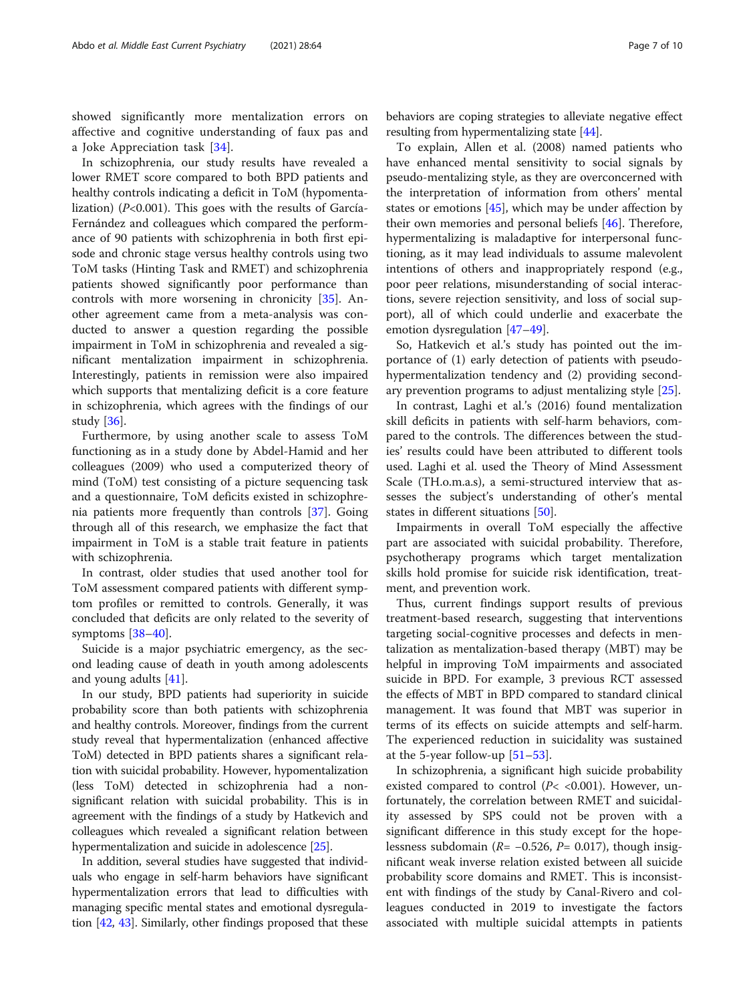showed significantly more mentalization errors on affective and cognitive understanding of faux pas and a Joke Appreciation task [[34\]](#page-8-0).

In schizophrenia, our study results have revealed a lower RMET score compared to both BPD patients and healthy controls indicating a deficit in ToM (hypomentalization) ( $P<0.001$ ). This goes with the results of García-Fernández and colleagues which compared the performance of 90 patients with schizophrenia in both first episode and chronic stage versus healthy controls using two ToM tasks (Hinting Task and RMET) and schizophrenia patients showed significantly poor performance than controls with more worsening in chronicity [\[35](#page-8-0)]. Another agreement came from a meta-analysis was conducted to answer a question regarding the possible impairment in ToM in schizophrenia and revealed a significant mentalization impairment in schizophrenia. Interestingly, patients in remission were also impaired which supports that mentalizing deficit is a core feature in schizophrenia, which agrees with the findings of our study [[36\]](#page-8-0).

Furthermore, by using another scale to assess ToM functioning as in a study done by Abdel-Hamid and her colleagues (2009) who used a computerized theory of mind (ToM) test consisting of a picture sequencing task and a questionnaire, ToM deficits existed in schizophrenia patients more frequently than controls [[37\]](#page-8-0). Going through all of this research, we emphasize the fact that impairment in ToM is a stable trait feature in patients with schizophrenia.

In contrast, older studies that used another tool for ToM assessment compared patients with different symptom profiles or remitted to controls. Generally, it was concluded that deficits are only related to the severity of symptoms [[38](#page-8-0)–[40](#page-8-0)].

Suicide is a major psychiatric emergency, as the second leading cause of death in youth among adolescents and young adults [\[41\]](#page-8-0).

In our study, BPD patients had superiority in suicide probability score than both patients with schizophrenia and healthy controls. Moreover, findings from the current study reveal that hypermentalization (enhanced affective ToM) detected in BPD patients shares a significant relation with suicidal probability. However, hypomentalization (less ToM) detected in schizophrenia had a nonsignificant relation with suicidal probability. This is in agreement with the findings of a study by Hatkevich and colleagues which revealed a significant relation between hypermentalization and suicide in adolescence [[25](#page-8-0)].

In addition, several studies have suggested that individuals who engage in self-harm behaviors have significant hypermentalization errors that lead to difficulties with managing specific mental states and emotional dysregulation [[42](#page-8-0), [43](#page-8-0)]. Similarly, other findings proposed that these

behaviors are coping strategies to alleviate negative effect resulting from hypermentalizing state [\[44\]](#page-8-0).

To explain, Allen et al. (2008) named patients who have enhanced mental sensitivity to social signals by pseudo-mentalizing style, as they are overconcerned with the interpretation of information from others' mental states or emotions [\[45\]](#page-8-0), which may be under affection by their own memories and personal beliefs [[46\]](#page-8-0). Therefore, hypermentalizing is maladaptive for interpersonal functioning, as it may lead individuals to assume malevolent intentions of others and inappropriately respond (e.g., poor peer relations, misunderstanding of social interactions, severe rejection sensitivity, and loss of social support), all of which could underlie and exacerbate the emotion dysregulation [\[47](#page-8-0)–[49\]](#page-8-0).

So, Hatkevich et al.'s study has pointed out the importance of (1) early detection of patients with pseudohypermentalization tendency and (2) providing secondary prevention programs to adjust mentalizing style [\[25\]](#page-8-0).

In contrast, Laghi et al.'s (2016) found mentalization skill deficits in patients with self-harm behaviors, compared to the controls. The differences between the studies' results could have been attributed to different tools used. Laghi et al. used the Theory of Mind Assessment Scale (TH.o.m.a.s), a semi-structured interview that assesses the subject's understanding of other's mental states in different situations [\[50\]](#page-8-0).

Impairments in overall ToM especially the affective part are associated with suicidal probability. Therefore, psychotherapy programs which target mentalization skills hold promise for suicide risk identification, treatment, and prevention work.

Thus, current findings support results of previous treatment-based research, suggesting that interventions targeting social-cognitive processes and defects in mentalization as mentalization-based therapy (MBT) may be helpful in improving ToM impairments and associated suicide in BPD. For example, 3 previous RCT assessed the effects of MBT in BPD compared to standard clinical management. It was found that MBT was superior in terms of its effects on suicide attempts and self-harm. The experienced reduction in suicidality was sustained at the 5-year follow-up  $[51–53]$  $[51–53]$  $[51–53]$  $[51–53]$  $[51–53]$ .

In schizophrenia, a significant high suicide probability existed compared to control ( $P$ < < 0.001). However, unfortunately, the correlation between RMET and suicidality assessed by SPS could not be proven with a significant difference in this study except for the hopelessness subdomain ( $R = -0.526$ ,  $P = 0.017$ ), though insignificant weak inverse relation existed between all suicide probability score domains and RMET. This is inconsistent with findings of the study by Canal-Rivero and colleagues conducted in 2019 to investigate the factors associated with multiple suicidal attempts in patients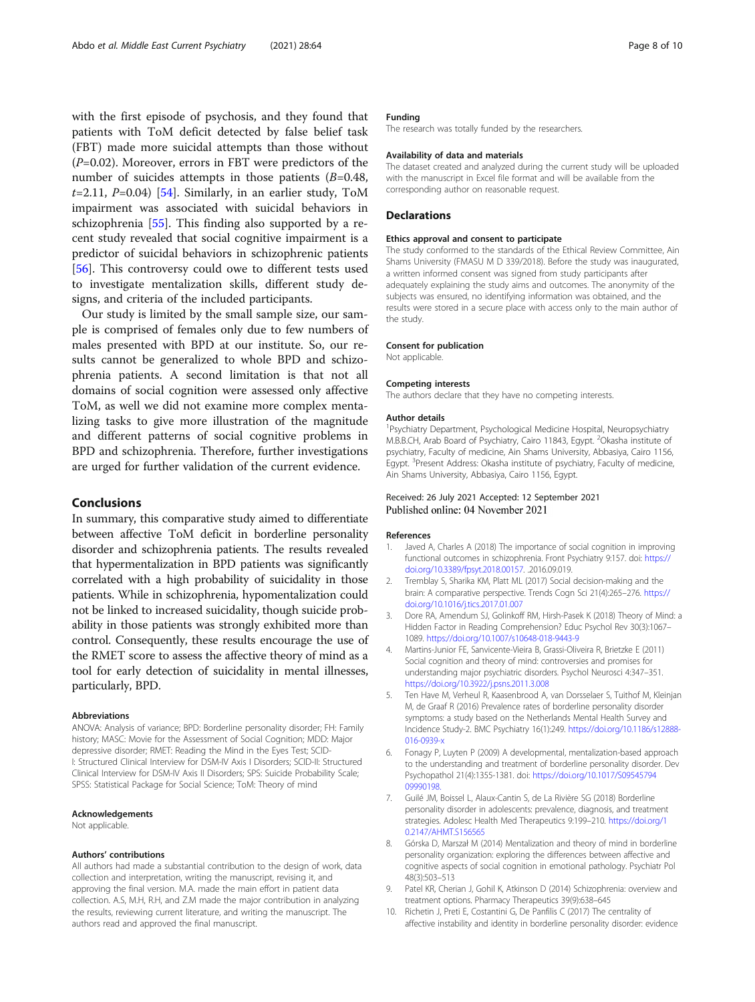<span id="page-7-0"></span>with the first episode of psychosis, and they found that patients with ToM deficit detected by false belief task (FBT) made more suicidal attempts than those without  $(P=0.02)$ . Moreover, errors in FBT were predictors of the number of suicides attempts in those patients  $(B=0.48,$  $t=2.11$ ,  $P=0.04$ ) [[54](#page-9-0)]. Similarly, in an earlier study, ToM impairment was associated with suicidal behaviors in schizophrenia [[55\]](#page-9-0). This finding also supported by a recent study revealed that social cognitive impairment is a predictor of suicidal behaviors in schizophrenic patients [[56\]](#page-9-0). This controversy could owe to different tests used to investigate mentalization skills, different study designs, and criteria of the included participants.

Our study is limited by the small sample size, our sample is comprised of females only due to few numbers of males presented with BPD at our institute. So, our results cannot be generalized to whole BPD and schizophrenia patients. A second limitation is that not all domains of social cognition were assessed only affective ToM, as well we did not examine more complex mentalizing tasks to give more illustration of the magnitude and different patterns of social cognitive problems in BPD and schizophrenia. Therefore, further investigations are urged for further validation of the current evidence.

#### Conclusions

In summary, this comparative study aimed to differentiate between affective ToM deficit in borderline personality disorder and schizophrenia patients. The results revealed that hypermentalization in BPD patients was significantly correlated with a high probability of suicidality in those patients. While in schizophrenia, hypomentalization could not be linked to increased suicidality, though suicide probability in those patients was strongly exhibited more than control. Consequently, these results encourage the use of the RMET score to assess the affective theory of mind as a tool for early detection of suicidality in mental illnesses, particularly, BPD.

#### Abbreviations

ANOVA: Analysis of variance; BPD: Borderline personality disorder; FH: Family history; MASC: Movie for the Assessment of Social Cognition; MDD: Major depressive disorder; RMET: Reading the Mind in the Eyes Test; SCID-I: Structured Clinical Interview for DSM-IV Axis I Disorders; SCID-II: Structured Clinical Interview for DSM-IV Axis II Disorders; SPS: Suicide Probability Scale; SPSS: Statistical Package for Social Science; ToM: Theory of mind

#### Acknowledgements

Not applicable.

#### Authors' contributions

All authors had made a substantial contribution to the design of work, data collection and interpretation, writing the manuscript, revising it, and approving the final version. M.A. made the main effort in patient data collection. A.S, M.H, R.H, and Z.M made the major contribution in analyzing the results, reviewing current literature, and writing the manuscript. The authors read and approved the final manuscript.

#### Funding

The research was totally funded by the researchers.

#### Availability of data and materials

The dataset created and analyzed during the current study will be uploaded with the manuscript in Excel file format and will be available from the corresponding author on reasonable request.

#### **Declarations**

#### Ethics approval and consent to participate

The study conformed to the standards of the Ethical Review Committee, Ain Shams University (FMASU M D 339/2018). Before the study was inaugurated, a written informed consent was signed from study participants after adequately explaining the study aims and outcomes. The anonymity of the subjects was ensured, no identifying information was obtained, and the results were stored in a secure place with access only to the main author of the study.

#### Consent for publication

Not applicable.

#### Competing interests

The authors declare that they have no competing interests.

#### Author details

1 Psychiatry Department, Psychological Medicine Hospital, Neuropsychiatry M.B.B.CH, Arab Board of Psychiatry, Cairo 11843, Egypt. <sup>2</sup>Okasha institute of psychiatry, Faculty of medicine, Ain Shams University, Abbasiya, Cairo 1156, Egypt. <sup>3</sup>Present Address: Okasha institute of psychiatry, Faculty of medicine Ain Shams University, Abbasiya, Cairo 1156, Egypt.

#### Received: 26 July 2021 Accepted: 12 September 2021 Published online: 04 November 2021

#### References

- 1. Javed A, Charles A (2018) The importance of social cognition in improving functional outcomes in schizophrenia. Front Psychiatry 9:157. doi: [https://](https://doi.org/10.3389/fpsyt.2018.00157) [doi.org/10.3389/fpsyt.2018.00157.](https://doi.org/10.3389/fpsyt.2018.00157) .2016.09.019.
- 2. Tremblay S, Sharika KM, Platt ML (2017) Social decision-making and the brain: A comparative perspective. Trends Cogn Sci 21(4):265–276. [https://](https://doi.org/10.1016/j.tics.2017.01.007) [doi.org/10.1016/j.tics.2017.01.007](https://doi.org/10.1016/j.tics.2017.01.007)
- 3. Dore RA, Amendum SJ, Golinkoff RM, Hirsh-Pasek K (2018) Theory of Mind: a Hidden Factor in Reading Comprehension? Educ Psychol Rev 30(3):1067– 1089. <https://doi.org/10.1007/s10648-018-9443-9>
- 4. Martins-Junior FE, Sanvicente-Vieira B, Grassi-Oliveira R, Brietzke E (2011) Social cognition and theory of mind: controversies and promises for understanding major psychiatric disorders. Psychol Neurosci 4:347–351. <https://doi.org/10.3922/j.psns.2011.3.008>
- 5. Ten Have M, Verheul R, Kaasenbrood A, van Dorsselaer S, Tuithof M, Kleinjan M, de Graaf R (2016) Prevalence rates of borderline personality disorder symptoms: a study based on the Netherlands Mental Health Survey and Incidence Study-2. BMC Psychiatry 16(1):249. [https://doi.org/10.1186/s12888-](https://doi.org/10.1186/s12888-016-0939-x) [016-0939-x](https://doi.org/10.1186/s12888-016-0939-x)
- 6. Fonagy P, Luyten P (2009) A developmental, mentalization-based approach to the understanding and treatment of borderline personality disorder. Dev Psychopathol 21(4):1355-1381. doi: [https://doi.org/10.1017/S09545794](https://doi.org/10.1017/S0954579409990198) [09990198.](https://doi.org/10.1017/S0954579409990198)
- 7. Guilé JM, Boissel L, Alaux-Cantin S, de La Rivière SG (2018) Borderline personality disorder in adolescents: prevalence, diagnosis, and treatment strategies. Adolesc Health Med Therapeutics 9:199–210. [https://doi.org/1](https://doi.org/10.2147/AHMT.S156565) [0.2147/AHMT.S156565](https://doi.org/10.2147/AHMT.S156565)
- 8. Górska D, Marszał M (2014) Mentalization and theory of mind in borderline personality organization: exploring the differences between affective and cognitive aspects of social cognition in emotional pathology. Psychiatr Pol 48(3):503–513
- 9. Patel KR, Cherian J, Gohil K, Atkinson D (2014) Schizophrenia: overview and treatment options. Pharmacy Therapeutics 39(9):638–645
- 10. Richetin J, Preti E, Costantini G, De Panfilis C (2017) The centrality of affective instability and identity in borderline personality disorder: evidence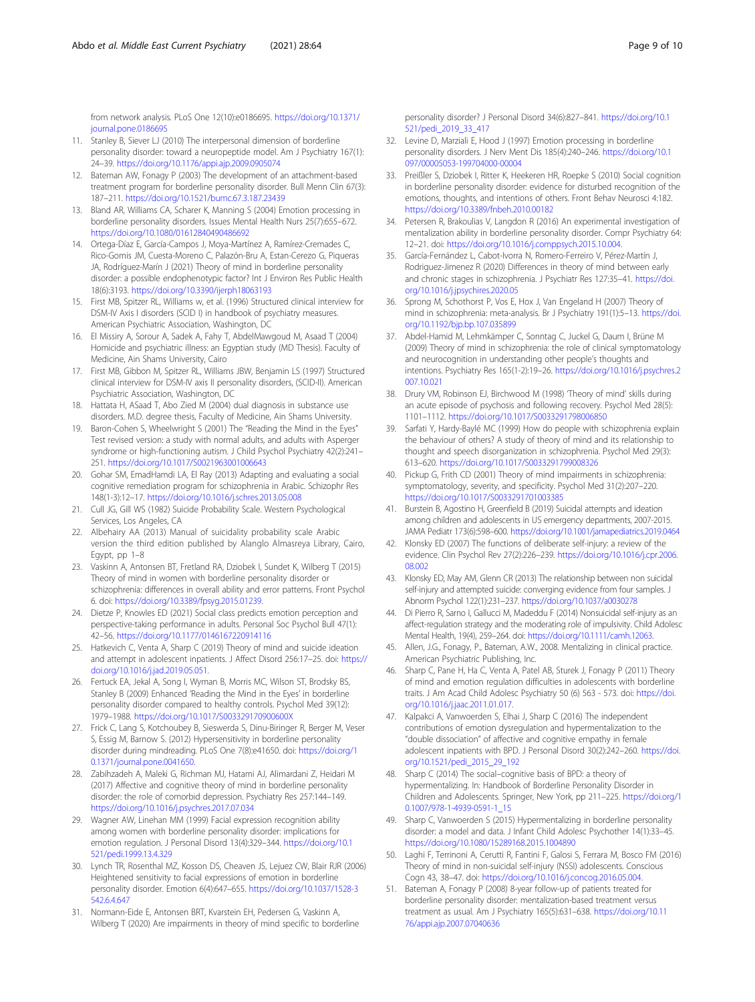<span id="page-8-0"></span>from network analysis. PLoS One 12(10):e0186695. [https://doi.org/10.1371/](https://doi.org/10.1371/journal.pone.0186695) [journal.pone.0186695](https://doi.org/10.1371/journal.pone.0186695)

- 11. Stanley B, Siever LJ (2010) The interpersonal dimension of borderline personality disorder: toward a neuropeptide model. Am J Psychiatry 167(1): 24–39. <https://doi.org/10.1176/appi.ajp.2009.0905074>
- 12. Bateman AW, Fonagy P (2003) The development of an attachment-based treatment program for borderline personality disorder. Bull Menn Clin 67(3): 187–211. <https://doi.org/10.1521/bumc.67.3.187.23439>
- 13. Bland AR, Williams CA, Scharer K, Manning S (2004) Emotion processing in borderline personality disorders. Issues Mental Health Nurs 25(7):655–672. <https://doi.org/10.1080/01612840490486692>
- 14. Ortega-Díaz E, García-Campos J, Moya-Martínez A, Ramírez-Cremades C, Rico-Gomis JM, Cuesta-Moreno C, Palazón-Bru A, Estan-Cerezo G, Piqueras JA, Rodríguez-Marín J (2021) Theory of mind in borderline personality disorder: a possible endophenotypic factor? Int J Environ Res Public Health 18(6):3193. <https://doi.org/10.3390/ijerph18063193>
- 15. First MB, Spitzer RL, Williams w, et al. (1996) Structured clinical interview for DSM-IV Axis I disorders (SCID I) in handbook of psychiatry measures. American Psychiatric Association, Washington, DC
- 16. El Missiry A, Sorour A, Sadek A, Fahy T, AbdelMawgoud M, Asaad T (2004) Homicide and psychiatric illness: an Egyptian study (MD Thesis). Faculty of Medicine, Ain Shams University, Cairo
- 17. First MB, Gibbon M, Spitzer RL, Williams JBW, Benjamin LS (1997) Structured clinical interview for DSM-IV axis II personality disorders, (SCID-II). American Psychiatric Association, Washington, DC
- 18. Hattata H, ASaad T, Abo Zied M (2004) dual diagnosis in substance use disorders. M.D. degree thesis, Faculty of Medicine, Ain Shams University.
- 19. Baron-Cohen S, Wheelwright S (2001) The "Reading the Mind in the Eyes" Test revised version: a study with normal adults, and adults with Asperger syndrome or high-functioning autism. J Child Psychol Psychiatry 42(2):241– 251. <https://doi.org/10.1017/S0021963001006643>
- 20. Gohar SM, EmadHamdi LA, El Ray (2013) Adapting and evaluating a social cognitive remediation program for schizophrenia in Arabic. Schizophr Res 148(1-3):12–17. <https://doi.org/10.1016/j.schres.2013.05.008>
- 21. Cull JG, Gill WS (1982) Suicide Probability Scale. Western Psychological Services, Los Angeles, CA
- 22. Albehairy AA (2013) Manual of suicidality probability scale Arabic version the third edition published by Alanglo Almasreya Library, Cairo, Egypt, pp 1–8
- 23. Vaskinn A, Antonsen BT, Fretland RA, Dziobek I, Sundet K, Wilberg T (2015) Theory of mind in women with borderline personality disorder or schizophrenia: differences in overall ability and error patterns. Front Psychol 6. doi: [https://doi.org/10.3389/fpsyg.2015.01239.](https://doi.org/10.3389/fpsyg.2015.01239)
- 24. Dietze P, Knowles ED (2021) Social class predicts emotion perception and perspective-taking performance in adults. Personal Soc Psychol Bull 47(1): 42–56. <https://doi.org/10.1177/0146167220914116>
- 25. Hatkevich C, Venta A, Sharp C (2019) Theory of mind and suicide ideation and attempt in adolescent inpatients. J Affect Disord 256:17–25. doi: [https://](https://doi.org/10.1016/j.jad.2019.05.051) [doi.org/10.1016/j.jad.2019.05.051.](https://doi.org/10.1016/j.jad.2019.05.051)
- 26. Fertuck EA, Jekal A, Song I, Wyman B, Morris MC, Wilson ST, Brodsky BS, Stanley B (2009) Enhanced 'Reading the Mind in the Eyes' in borderline personality disorder compared to healthy controls. Psychol Med 39(12): 1979–1988. <https://doi.org/10.1017/S003329170900600X>
- 27. Frick C, Lang S, Kotchoubey B, Sieswerda S, Dinu-Biringer R, Berger M, Veser S, Essig M, Barnow S. (2012) Hypersensitivity in borderline personality disorder during mindreading. PLoS One 7(8):e41650. doi: [https://doi.org/1](https://doi.org/10.1371/journal.pone.0041650) [0.1371/journal.pone.0041650.](https://doi.org/10.1371/journal.pone.0041650)
- 28. Zabihzadeh A, Maleki G, Richman MJ, Hatami AJ, Alimardani Z, Heidari M (2017) Affective and cognitive theory of mind in borderline personality disorder: the role of comorbid depression. Psychiatry Res 257:144–149. <https://doi.org/10.1016/j.psychres.2017.07.034>
- 29. Wagner AW, Linehan MM (1999) Facial expression recognition ability among women with borderline personality disorder: implications for emotion regulation. J Personal Disord 13(4):329–344. [https://doi.org/10.1](https://doi.org/10.1521/pedi.1999.13.4.329) [521/pedi.1999.13.4.329](https://doi.org/10.1521/pedi.1999.13.4.329)
- 30. Lynch TR, Rosenthal MZ, Kosson DS, Cheaven JS, Lejuez CW, Blair RJR (2006) Heightened sensitivity to facial expressions of emotion in borderline personality disorder. Emotion 6(4):647–655. [https://doi.org/10.1037/1528-3](https://doi.org/10.1037/1528-3542.6.4.647) [542.6.4.647](https://doi.org/10.1037/1528-3542.6.4.647)
- 31. Normann-Eide E, Antonsen BRT, Kvarstein EH, Pedersen G, Vaskinn A, Wilberg T (2020) Are impairments in theory of mind specific to borderline

personality disorder? J Personal Disord 34(6):827–841. [https://doi.org/10.1](https://doi.org/10.1521/pedi_2019_33_417) [521/pedi\\_2019\\_33\\_417](https://doi.org/10.1521/pedi_2019_33_417)

- 32. Levine D, Marziali E, Hood J (1997) Emotion processing in borderline personality disorders. J Nerv Ment Dis 185(4):240–246. [https://doi.org/10.1](https://doi.org/10.1097/00005053-199704000-00004) [097/00005053-199704000-00004](https://doi.org/10.1097/00005053-199704000-00004)
- 33. Preißler S, Dziobek I, Ritter K, Heekeren HR, Roepke S (2010) Social cognition in borderline personality disorder: evidence for disturbed recognition of the emotions, thoughts, and intentions of others. Front Behav Neurosci 4:182. <https://doi.org/10.3389/fnbeh.2010.00182>
- 34. Petersen R, Brakoulias V, Langdon R (2016) An experimental investigation of mentalization ability in borderline personality disorder. Compr Psychiatry 64: 12–21. doi: [https://doi.org/10.1016/j.comppsych.2015.10.004.](https://doi.org/10.1016/j.comppsych.2015.10.004)
- 35. García-Fernández L, Cabot-Ivorra N, Romero-Ferreiro V, Pérez-Martín J, Rodriguez-Jimenez R (2020) Differences in theory of mind between early and chronic stages in schizophrenia. J Psychiatr Res 127:35–41. [https://doi.](https://doi.org/10.1016/j.jpsychires.2020.05) [org/10.1016/j.jpsychires.2020.05](https://doi.org/10.1016/j.jpsychires.2020.05)
- 36. Sprong M, Schothorst P, Vos E, Hox J, Van Engeland H (2007) Theory of mind in schizophrenia: meta-analysis. Br J Psychiatry 191(1):5–13. [https://doi.](https://doi.org/10.1192/bjp.bp.107.035899) [org/10.1192/bjp.bp.107.035899](https://doi.org/10.1192/bjp.bp.107.035899)
- 37. Abdel-Hamid M, Lehmkämper C, Sonntag C, Juckel G, Daum I, Brüne M (2009) Theory of mind in schizophrenia: the role of clinical symptomatology and neurocognition in understanding other people's thoughts and intentions. Psychiatry Res 165(1-2):19–26. [https://doi.org/10.1016/j.psychres.2](https://doi.org/10.1016/j.psychres.2007.10.021) [007.10.021](https://doi.org/10.1016/j.psychres.2007.10.021)
- 38. Drury VM, Robinson EJ, Birchwood M (1998) 'Theory of mind' skills during an acute episode of psychosis and following recovery. Psychol Med 28(5): 1101–1112. <https://doi.org/10.1017/S0033291798006850>
- 39. Sarfati Y, Hardy-Baylé MC (1999) How do people with schizophrenia explain the behaviour of others? A study of theory of mind and its relationship to thought and speech disorganization in schizophrenia. Psychol Med 29(3): 613–620. <https://doi.org/10.1017/S0033291799008326>
- 40. Pickup G, Frith CD (2001) Theory of mind impairments in schizophrenia: symptomatology, severity, and specificity. Psychol Med 31(2):207–220. <https://doi.org/10.1017/S0033291701003385>
- 41. Burstein B, Agostino H, Greenfield B (2019) Suicidal attempts and ideation among children and adolescents in US emergency departments, 2007-2015. JAMA Pediatr 173(6):598–600. <https://doi.org/10.1001/jamapediatrics.2019.0464>
- 42. Klonsky ED (2007) The functions of deliberate self-injury: a review of the evidence. Clin Psychol Rev 27(2):226–239. [https://doi.org/10.1016/j.cpr.2006.](https://doi.org/10.1016/j.cpr.2006.08.002) [08.002](https://doi.org/10.1016/j.cpr.2006.08.002)
- 43. Klonsky ED, May AM, Glenn CR (2013) The relationship between non suicidal self-injury and attempted suicide: converging evidence from four samples. J Abnorm Psychol 122(1):231–237. <https://doi.org/10.1037/a0030278>
- 44. Di Pierro R, Sarno I, Gallucci M, Madeddu F (2014) Nonsuicidal self-injury as an affect-regulation strategy and the moderating role of impulsivity. Child Adolesc Mental Health, 19(4), 259–264. doi: <https://doi.org/10.1111/camh.12063>[.](http://dx.doi.org/10.1111/camh.12063)
- Allen, J.G., Fonagy, P., Bateman, A.W., 2008. Mentalizing in clinical practice. American Psychiatric Publishing, Inc.
- 46. Sharp C, Pane H, Ha C, Venta A, Patel AB, Sturek J, Fonagy P (2011) Theory of mind and emotion regulation difficulties in adolescents with borderline traits. J Am Acad Child Adolesc Psychiatry 50 (6) 563 - 573. doi: [https://doi.](https://doi.org/10.1016/j.jaac.2011.01.017) [org/10.1016/j.jaac.2011.01.017.](https://doi.org/10.1016/j.jaac.2011.01.017)
- 47. Kalpakci A, Vanwoerden S, Elhai J, Sharp C (2016) The independent contributions of emotion dysregulation and hypermentalization to the "double dissociation" of affective and cognitive empathy in female adolescent inpatients with BPD. J Personal Disord 30(2):242–260. [https://doi.](https://doi.org/10.1521/pedi_2015_29_192) [org/10.1521/pedi\\_2015\\_29\\_192](https://doi.org/10.1521/pedi_2015_29_192)
- 48. Sharp C (2014) The social–cognitive basis of BPD: a theory of hypermentalizing. In: Handbook of Borderline Personality Disorder in Children and Adolescents. Springer, New York, pp 211–225. [https://doi.org/1](https://doi.org/10.1007/978-1-4939-0591-1_15) [0.1007/978-1-4939-0591-1\\_15](https://doi.org/10.1007/978-1-4939-0591-1_15)
- 49. Sharp C, Vanwoerden S (2015) Hypermentalizing in borderline personality disorder: a model and data. J Infant Child Adolesc Psychother 14(1):33–45. <https://doi.org/10.1080/15289168.2015.1004890>
- Laghi F, Terrinoni A, Cerutti R, Fantini F, Galosi S, Ferrara M, Bosco FM (2016) Theory of mind in non-suicidal self-injury (NSSI) adolescents. Conscious Cogn 43, 38–47. doi: [https://doi.org/10.1016/j.concog.2016.05.004.](https://doi.org/10.1016/j.concog.2016.05.004)
- 51. Bateman A, Fonagy P (2008) 8-year follow-up of patients treated for borderline personality disorder: mentalization-based treatment versus treatment as usual. Am J Psychiatry 165(5):631–638. [https://doi.org/10.11](https://doi.org/10.1176/appi.ajp.2007.07040636) [76/appi.ajp.2007.07040636](https://doi.org/10.1176/appi.ajp.2007.07040636)